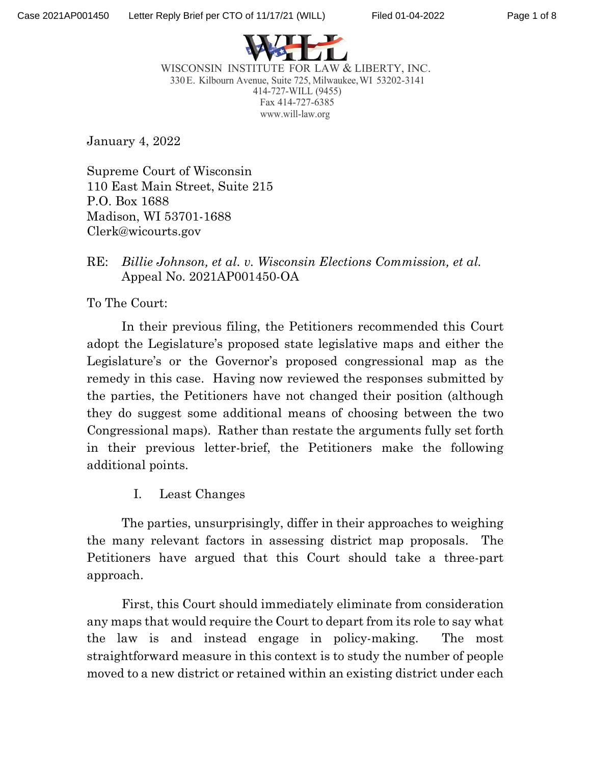



WISCONSIN INSTITUTE FOR LAW & LIBERTY, INC. 330E. Kilbourn Avenue, Suite 725, Milwaukee,WI 53202-3141 414-727-WILL (9455) Fax 414-727-6385 [www.will-law.org](http://www.will-law.org/)

January 4, 2022

Supreme Court of Wisconsin 110 East Main Street, Suite 215 P.O. Box 1688 Madison, WI 53701-1688 Clerk@wicourts.gov

## RE: *Billie Johnson, et al. v. Wisconsin Elections Commission, et al.* Appeal No. 2021AP001450-OA

To The Court:

In their previous filing, the Petitioners recommended this Court adopt the Legislature's proposed state legislative maps and either the Legislature's or the Governor's proposed congressional map as the remedy in this case. Having now reviewed the responses submitted by the parties, the Petitioners have not changed their position (although they do suggest some additional means of choosing between the two Congressional maps). Rather than restate the arguments fully set forth in their previous letter-brief, the Petitioners make the following additional points.

I. Least Changes

The parties, unsurprisingly, differ in their approaches to weighing the many relevant factors in assessing district map proposals. The Petitioners have argued that this Court should take a three-part approach.

First, this Court should immediately eliminate from consideration any maps that would require the Court to depart from its role to say what the law is and instead engage in policy-making. The most straightforward measure in this context is to study the number of people moved to a new district or retained within an existing district under each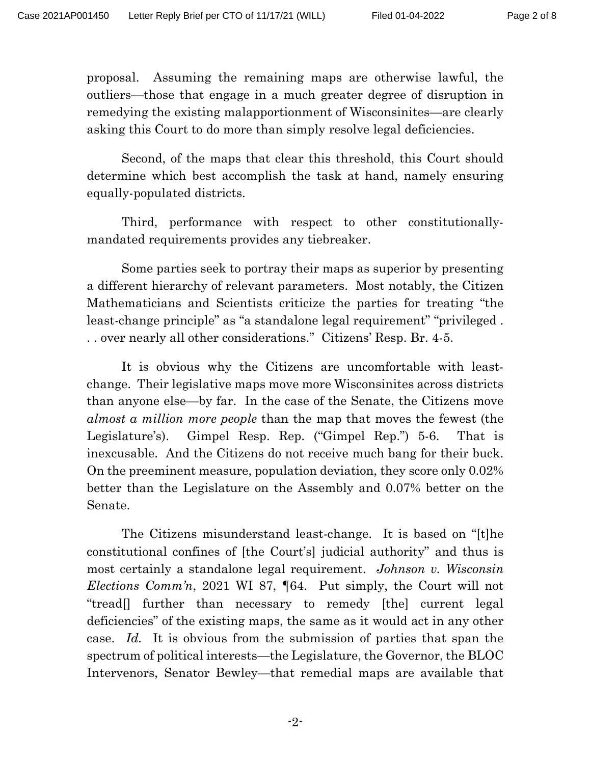proposal. Assuming the remaining maps are otherwise lawful, the outliers—those that engage in a much greater degree of disruption in remedying the existing malapportionment of Wisconsinites—are clearly asking this Court to do more than simply resolve legal deficiencies.

Second, of the maps that clear this threshold, this Court should determine which best accomplish the task at hand, namely ensuring equally-populated districts.

Third, performance with respect to other constitutionallymandated requirements provides any tiebreaker.

Some parties seek to portray their maps as superior by presenting a different hierarchy of relevant parameters. Most notably, the Citizen Mathematicians and Scientists criticize the parties for treating "the least-change principle" as "a standalone legal requirement" "privileged . . . over nearly all other considerations." Citizens' Resp. Br. 4-5.

It is obvious why the Citizens are uncomfortable with leastchange. Their legislative maps move more Wisconsinites across districts than anyone else—by far. In the case of the Senate, the Citizens move *almost a million more people* than the map that moves the fewest (the Legislature's). Gimpel Resp. Rep. ("Gimpel Rep.") 5-6. That is inexcusable. And the Citizens do not receive much bang for their buck. On the preeminent measure, population deviation, they score only 0.02% better than the Legislature on the Assembly and 0.07% better on the Senate.

The Citizens misunderstand least-change. It is based on "[t]he constitutional confines of [the Court's] judicial authority" and thus is most certainly a standalone legal requirement. *Johnson v. Wisconsin Elections Comm'n*, 2021 WI 87, ¶64. Put simply, the Court will not "tread[] further than necessary to remedy [the] current legal deficiencies" of the existing maps, the same as it would act in any other case. *Id.* It is obvious from the submission of parties that span the spectrum of political interests—the Legislature, the Governor, the BLOC Intervenors, Senator Bewley—that remedial maps are available that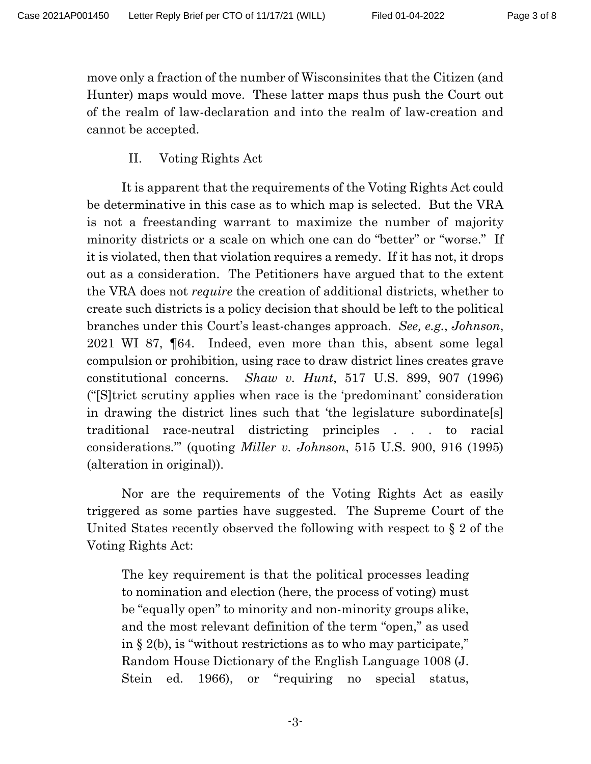move only a fraction of the number of Wisconsinites that the Citizen (and Hunter) maps would move. These latter maps thus push the Court out of the realm of law-declaration and into the realm of law-creation and cannot be accepted.

II. Voting Rights Act

It is apparent that the requirements of the Voting Rights Act could be determinative in this case as to which map is selected. But the VRA is not a freestanding warrant to maximize the number of majority minority districts or a scale on which one can do "better" or "worse." If it is violated, then that violation requires a remedy. If it has not, it drops out as a consideration. The Petitioners have argued that to the extent the VRA does not *require* the creation of additional districts, whether to create such districts is a policy decision that should be left to the political branches under this Court's least-changes approach. *See, e.g.*, *Johnson*, 2021 WI 87, ¶64. Indeed, even more than this, absent some legal compulsion or prohibition, using race to draw district lines creates grave constitutional concerns. *Shaw v. Hunt*, 517 U.S. 899, 907 (1996) ("[S]trict scrutiny applies when race is the 'predominant' consideration in drawing the district lines such that 'the legislature subordinate[s] traditional race-neutral districting principles . . . to racial considerations.'" (quoting *Miller v. Johnson*, 515 U.S. 900, 916 (1995) (alteration in original)).

Nor are the requirements of the Voting Rights Act as easily triggered as some parties have suggested. The Supreme Court of the United States recently observed the following with respect to § 2 of the Voting Rights Act:

The key requirement is that the political processes leading to nomination and election (here, the process of voting) must be "equally open" to minority and non-minority groups alike, and the most relevant definition of the term "open," as used in § 2(b), is "without restrictions as to who may participate," Random House Dictionary of the English Language 1008 (J. Stein ed. 1966), or "requiring no special status,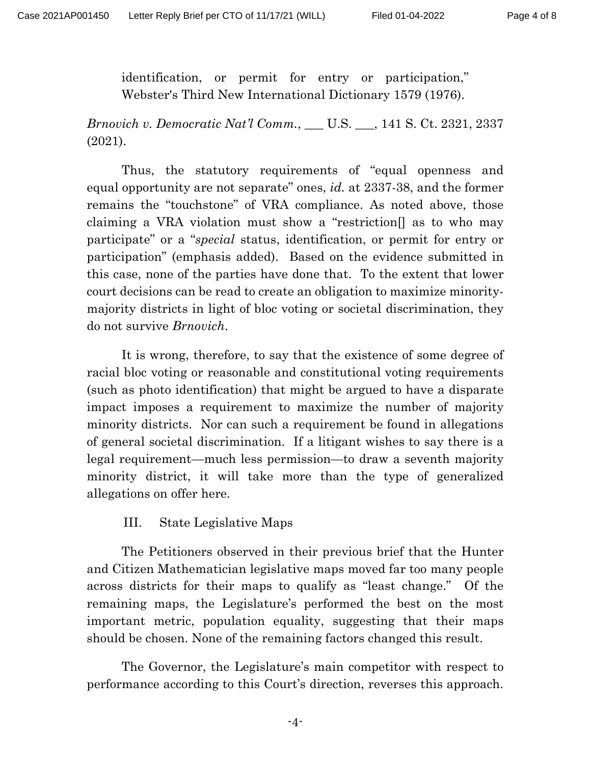identification, or permit for entry or participation," Webster's Third New International Dictionary 1579 (1976).

*Brnovich v. Democratic Nat'l Comm.*, \_\_\_ U.S. \_\_\_, 141 S. Ct. 2321, 2337 (2021).

Thus, the statutory requirements of "equal openness and equal opportunity are not separate" ones, *id.* at 2337-38, and the former remains the "touchstone" of VRA compliance. As noted above, those claiming a VRA violation must show a "restriction[] as to who may participate" or a "*special* status, identification, or permit for entry or participation" (emphasis added). Based on the evidence submitted in this case, none of the parties have done that. To the extent that lower court decisions can be read to create an obligation to maximize minoritymajority districts in light of bloc voting or societal discrimination, they do not survive *Brnovich*.

It is wrong, therefore, to say that the existence of some degree of racial bloc voting or reasonable and constitutional voting requirements (such as photo identification) that might be argued to have a disparate impact imposes a requirement to maximize the number of majority minority districts. Nor can such a requirement be found in allegations of general societal discrimination. If a litigant wishes to say there is a legal requirement—much less permission—to draw a seventh majority minority district, it will take more than the type of generalized allegations on offer here.

### III. State Legislative Maps

The Petitioners observed in their previous brief that the Hunter and Citizen Mathematician legislative maps moved far too many people across districts for their maps to qualify as "least change." Of the remaining maps, the Legislature's performed the best on the most important metric, population equality, suggesting that their maps should be chosen. None of the remaining factors changed this result.

The Governor, the Legislature's main competitor with respect to performance according to this Court's direction, reverses this approach.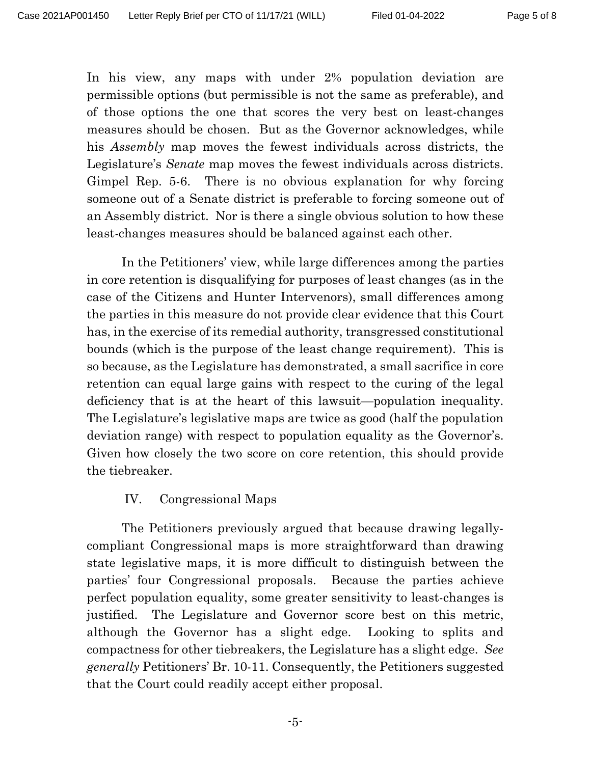In his view, any maps with under 2% population deviation are permissible options (but permissible is not the same as preferable), and of those options the one that scores the very best on least-changes measures should be chosen. But as the Governor acknowledges, while his *Assembly* map moves the fewest individuals across districts, the Legislature's *Senate* map moves the fewest individuals across districts. Gimpel Rep. 5-6. There is no obvious explanation for why forcing someone out of a Senate district is preferable to forcing someone out of an Assembly district. Nor is there a single obvious solution to how these least-changes measures should be balanced against each other.

In the Petitioners' view, while large differences among the parties in core retention is disqualifying for purposes of least changes (as in the case of the Citizens and Hunter Intervenors), small differences among the parties in this measure do not provide clear evidence that this Court has, in the exercise of its remedial authority, transgressed constitutional bounds (which is the purpose of the least change requirement). This is so because, as the Legislature has demonstrated, a small sacrifice in core retention can equal large gains with respect to the curing of the legal deficiency that is at the heart of this lawsuit—population inequality. The Legislature's legislative maps are twice as good (half the population deviation range) with respect to population equality as the Governor's. Given how closely the two score on core retention, this should provide the tiebreaker.

### IV. Congressional Maps

The Petitioners previously argued that because drawing legallycompliant Congressional maps is more straightforward than drawing state legislative maps, it is more difficult to distinguish between the parties' four Congressional proposals. Because the parties achieve perfect population equality, some greater sensitivity to least-changes is justified. The Legislature and Governor score best on this metric, although the Governor has a slight edge. Looking to splits and compactness for other tiebreakers, the Legislature has a slight edge. *See generally* Petitioners' Br. 10-11. Consequently, the Petitioners suggested that the Court could readily accept either proposal.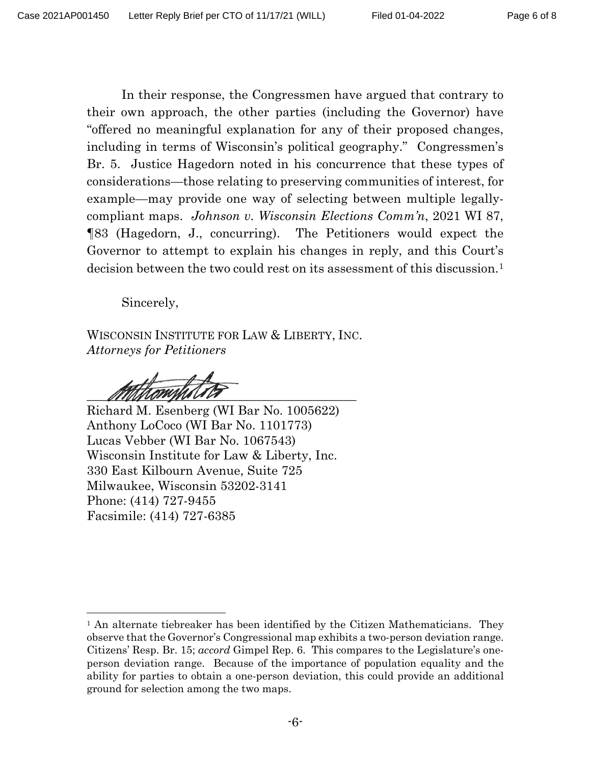In their response, the Congressmen have argued that contrary to their own approach, the other parties (including the Governor) have "offered no meaningful explanation for any of their proposed changes, including in terms of Wisconsin's political geography." Congressmen's Br. 5. Justice Hagedorn noted in his concurrence that these types of considerations—those relating to preserving communities of interest, for example—may provide one way of selecting between multiple legallycompliant maps. *Johnson v. Wisconsin Elections Comm'n*, 2021 WI 87, ¶83 (Hagedorn, J., concurring). The Petitioners would expect the Governor to attempt to explain his changes in reply, and this Court's decision between the two could rest on its assessment of this discussion.<sup>[1](#page-5-0)</sup>

Sincerely,

WISCONSIN INSTITUTE FOR LAW & LIBERTY, INC. *Attorneys for Petitioners*

 $\frac{1}{2}$ 

Richard M. Esenberg (WI Bar No. 1005622) Anthony LoCoco (WI Bar No. 1101773) Lucas Vebber (WI Bar No. 1067543) Wisconsin Institute for Law & Liberty, Inc. 330 East Kilbourn Avenue, Suite 725 Milwaukee, Wisconsin 53202-3141 Phone: (414) 727-9455 Facsimile: (414) 727-6385

<span id="page-5-0"></span><sup>&</sup>lt;sup>1</sup> An alternate tiebreaker has been identified by the Citizen Mathematicians. They observe that the Governor's Congressional map exhibits a two-person deviation range. Citizens' Resp. Br. 15; *accord* Gimpel Rep. 6. This compares to the Legislature's oneperson deviation range. Because of the importance of population equality and the ability for parties to obtain a one-person deviation, this could provide an additional ground for selection among the two maps.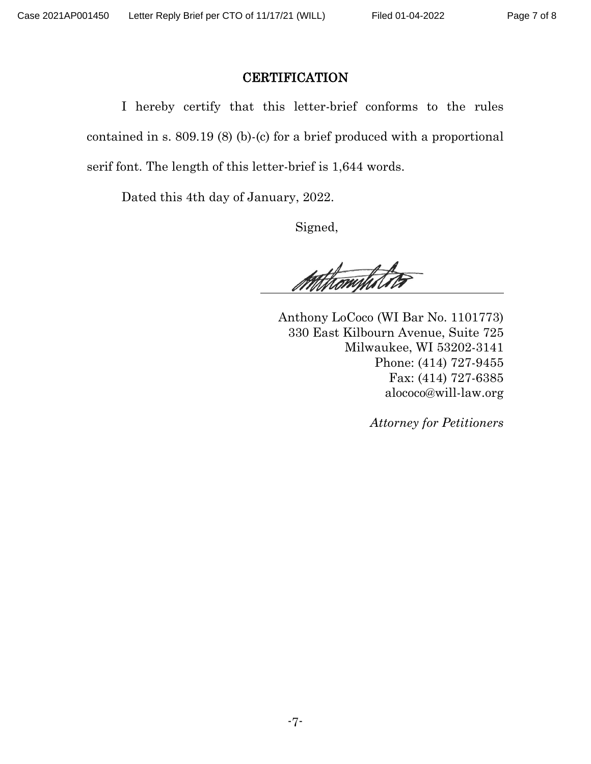### **CERTIFICATION**

I hereby certify that this letter-brief conforms to the rules contained in s. 809.19 (8) (b)-(c) for a brief produced with a proportional serif font. The length of this letter-brief is 1,644 words.

Dated this 4th day of January, 2022.

Signed,

Athtrompholi

 Anthony LoCoco (WI Bar No. 1101773) 330 East Kilbourn Avenue, Suite 725 Milwaukee, WI 53202-3141 Phone: (414) 727-9455 Fax: (414) 727-6385 alococo@will-law.org

*Attorney for Petitioners*